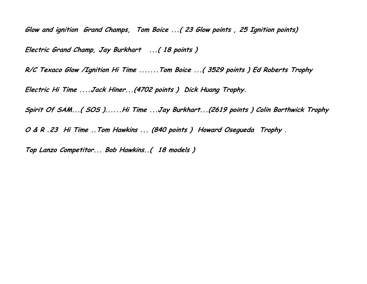**Glow and ignition Grand Champs, Tom Boice ...( 23 Glow points , 25 Ignition points) Electric Grand Champ, Jay Burkhart ...( 18 points )**

**R/C Texaco Glow /Ignition Hi Time .......Tom Boice ...( 3529 points ) Ed Roberts Trophy** 

**Electric Hi Time ....Jack Hiner...(4702 points ) Dick Huang Trophy.**

**Spirit Of SAM...( SOS )......Hi Time ...Jay Burkhart...(2619 points ) Colin Borthwick Trophy**

**O & R .23 Hi Time ..Tom Hawkins ... (840 points ) Howard Osegueda Trophy .**

**Top Lanzo Competitor... Bob Hawkins..( 18 models )**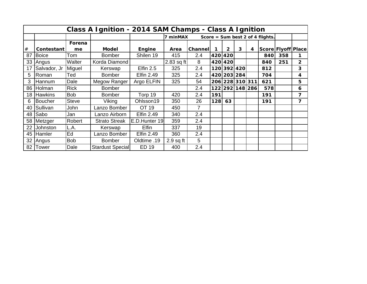|         |                |              | Class A Ignition - 2014 SAM Champs - Class A Ignition |                   |             |         |     |              |                 |   |                                  |                    |                         |
|---------|----------------|--------------|-------------------------------------------------------|-------------------|-------------|---------|-----|--------------|-----------------|---|----------------------------------|--------------------|-------------------------|
|         |                |              |                                                       |                   | 7 minMAX    |         |     |              |                 |   | Score = Sum best 2 of 4 flights. |                    |                         |
|         |                | Forena       |                                                       |                   |             |         |     |              |                 |   |                                  |                    |                         |
| $^{\#}$ | Contestant     | me           | <b>Model</b>                                          | Engine            | Area        | Channel | 1   | $\mathbf{2}$ | 3               | 4 |                                  | Score Flyoff Place |                         |
| 87      | <b>Boice</b>   | Tom          | <b>Bomber</b>                                         | Shilen 19         | 415         | 2.4     |     | 420 420      |                 |   | 840                              | 358                | 1                       |
| 33      | Angus          | Walter       | Korda Diamond                                         |                   | 2.83 sq ft  | 8       |     | 420 420      |                 |   | 840                              | 251                | $\overline{2}$          |
| 17      | Salvador, Jr   | Miguel       | Kerswap                                               | Elfin $2.5$       | 325         | 2.4     |     | 120 392 420  |                 |   | 812                              |                    | 3                       |
| 5       | Roman          | Ted          | <b>Bomber</b>                                         | <b>Elfin 2.49</b> | 325         | 2.4     |     |              | 420 203 284     |   | 704                              |                    | 4                       |
| 3       | Hannum         | Dale         | Megow Ranger                                          | Argo ELFIN        | 325         | 54      |     |              | 206 228 310 311 |   | 621                              |                    | 5                       |
| 86      | Holman         | <b>Rick</b>  | <b>Bomber</b>                                         |                   |             | 2.4     |     |              | 122 292 148 286 |   | 578                              |                    | 6                       |
| 18      | <b>Hawkins</b> | <b>Bob</b>   | <b>Bomber</b>                                         | Torp 19           | 420         | 2.4     | 191 |              |                 |   | 191                              |                    | 7                       |
| 6       | <b>Boucher</b> | <b>Steve</b> | Viking                                                | Ohlsson19         | 350         | 26      | 128 | 63           |                 |   | 191                              |                    | $\overline{\mathbf{z}}$ |
| 40      | Sullivan       | John         | Lanzo Bomber                                          | OT 19             | 450         | 7       |     |              |                 |   |                                  |                    |                         |
| 48      | Sabo           | Jan          | Lanzo Airborn                                         | <b>Elfin 2.49</b> | 340         | 2.4     |     |              |                 |   |                                  |                    |                         |
| 58      | Metzger        | Robert       | <b>Strato Streak</b>                                  | E.D.Hunter 19     | 359         | 2.4     |     |              |                 |   |                                  |                    |                         |
| 22      | Johnston       | L.A.         | Kerswap                                               | <b>Elfin</b>      | 337         | 19      |     |              |                 |   |                                  |                    |                         |
| 45      | <b>Hamler</b>  | Ed           | Lanzo Bomber                                          | <b>Elfin 2.49</b> | 360         | 2.4     |     |              |                 |   |                                  |                    |                         |
| 32      | Angus          | <b>Bob</b>   | <b>Bomber</b>                                         | Oldtime .19       | $2.9$ sq ft | 5       |     |              |                 |   |                                  |                    |                         |
|         | 82 Tower       | Dale         | Stardust Special                                      | <b>ED 19</b>      | 400         | 2.4     |     |              |                 |   |                                  |                    |                         |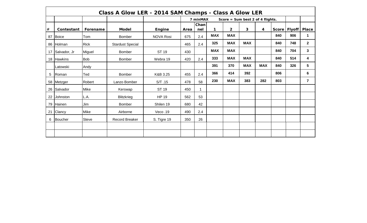|      |              |              | Class A Glow LER - 2014 SAM Champs - Class A Glow LER |                  |      |             |            |                                  |            |            |       |               |                |
|------|--------------|--------------|-------------------------------------------------------|------------------|------|-------------|------------|----------------------------------|------------|------------|-------|---------------|----------------|
|      |              |              |                                                       |                  |      | 7 minMAX    |            | Score = Sum best 2 of 4 flights. |            |            |       |               |                |
| $\#$ | Contestant   | Forename     | <b>Model</b>                                          | Engine           | Area | Chan<br>nel | 1          | $\overline{2}$                   | 3          | 4          | Score | <b>Flyoff</b> | <b>Place</b>   |
| 87   | Boice        | Tom          | <b>Bomber</b>                                         | <b>NOVA Rosi</b> | 675  | 2.4         | <b>MAX</b> | <b>MAX</b>                       |            |            | 840   | 906           | 1              |
| 86   | Holman       | <b>Rick</b>  | <b>Stardust Special</b>                               |                  | 465  | 2.4         | 325        | <b>MAX</b>                       | <b>MAX</b> |            | 840   | 748           | $\mathbf{2}$   |
| 17   | Salvador, Jr | Miguel       | <b>Bomber</b>                                         | <b>ST 19</b>     | 430  |             | <b>MAX</b> | <b>MAX</b>                       |            |            | 840   | 704           | 3 <sup>1</sup> |
|      | 18 Hawkins   | <b>Bob</b>   | <b>Bomber</b>                                         | Webra 19         | 420  | 2.4         | 333        | <b>MAX</b>                       | <b>MAX</b> |            | 840   | 514           | 4              |
|      | Latowski     | Andy         |                                                       |                  |      |             | 391        | 370                              | <b>MAX</b> | <b>MAX</b> | 840   | 326           | 5              |
| 5    | Roman        | Ted          | Bomber                                                | K&B 3.25         | 455  | 2.4         | 366        | 414                              | 392        |            | 806   |               | 6              |
|      | 58   Metzger | Robert       | Lanzo Bomber                                          | S/T.15           | 478  | 58          | 230        | <b>MAX</b>                       | 383        | 282        | 803   |               | $\overline{7}$ |
| 26   | Salvador     | Mike         | Kerswap                                               | ST 19            | 450  |             |            |                                  |            |            |       |               |                |
| 22   | Johnston     | L.A.         | <b>Blitzkrieg</b>                                     | <b>HP 19</b>     | 562  | 53          |            |                                  |            |            |       |               |                |
| 79   | Hainen       | Jim          | <b>Bomber</b>                                         | Shilen 19        | 680  | 42          |            |                                  |            |            |       |               |                |
| 21   | Clancy       | Mike         | Airborne                                              | Veco.19          | 490  | 2.4         |            |                                  |            |            |       |               |                |
| 6    | Boucher      | <b>Steve</b> | <b>Record Breaker</b>                                 | S. Tigre 19      | 350  | 26          |            |                                  |            |            |       |               |                |
|      |              |              |                                                       |                  |      |             |            |                                  |            |            |       |               |                |
|      |              |              |                                                       |                  |      |             |            |                                  |            |            |       |               |                |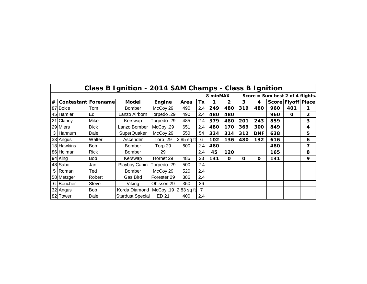|   |                            |             | Class B Ignition - 2014 SAM Champs - Class B Ignition |                      |              |                |          |              |             |             |                                  |                    |              |
|---|----------------------------|-------------|-------------------------------------------------------|----------------------|--------------|----------------|----------|--------------|-------------|-------------|----------------------------------|--------------------|--------------|
|   |                            |             |                                                       |                      |              |                | 8 minMAX |              |             |             | Score = Sum best 2 of 4 flights. |                    |              |
| # | <b>Contestant Forename</b> |             | <b>Model</b>                                          | Engine               | Area         | Tx             |          | $\mathbf{2}$ | 3           | 4           |                                  | Score Flyoff Place |              |
|   | 87 Boice                   | Tom         | <b>Bomber</b>                                         | McCoy 29             | 490          | 2.4            | 249      | 480          | 319         | 480         | 960                              | 401                | 1            |
|   | 45 Hamler                  | Ed          | Lanzo Airborn                                         | Torpedo .29          | 490          | 2.4            | 480      | 480          |             |             | 960                              | $\mathbf{o}$       | $\mathbf{2}$ |
|   | 21 Clancy                  | Mike        | Kerswap                                               | Torpedo .29          | 485          | 2.4            | 379      | 480          | 201         | 243         | 859                              |                    | 3            |
|   | 29 Miers                   | <b>Dick</b> | Lanzo Bomber                                          | McCoy .29            | 651          | 2.4            | 480      | 170          | 369         | 300         | 849                              |                    | 4            |
|   | 3 Hannum                   | Dale        | <b>SuperQuaker</b>                                    | McCoy 29             | 550          | 54             | 324      | 314          | 312         | <b>DNF</b>  | 638                              |                    | 5            |
|   | 33 Angus                   | Walter      | Ascender                                              | Torp .29             | $2.85$ sq ft | 6              | 102      | 136          | 480         | 132         | 616                              |                    | 6            |
|   | 18 Hawkins                 | <b>Bob</b>  | <b>Bomber</b>                                         | Torp 29              | 600          | 2.4            | 480      |              |             |             | 480                              |                    | 7            |
|   | 86 Holman                  | <b>Rick</b> | <b>Bomber</b>                                         | 29                   |              | 2.4            | 45       | 120          |             |             | 165                              |                    | 8            |
|   | 94 King                    | <b>Bob</b>  | Kerswap                                               | Hornet 29            | 485          | 23             | 131      | 0            | $\mathbf 0$ | $\mathbf 0$ | 131                              |                    | 9            |
|   | 48 Sabo                    | Jan         | Playboy Cabin                                         | Torpedo .29          | 500          | 2.4            |          |              |             |             |                                  |                    |              |
|   | 5 Roman                    | Ted         | <b>Bomber</b>                                         | McCoy 29             | 520          | 2.4            |          |              |             |             |                                  |                    |              |
|   | 58 Metzger                 | Robert      | Gas Bird                                              | Forester 29          | 386          | 2.4            |          |              |             |             |                                  |                    |              |
|   | 6 Boucher                  | Steve       | Viking                                                | Ohlsson 29           | 350          | 26             |          |              |             |             |                                  |                    |              |
|   | 32 Angus                   | <b>Bob</b>  | Korda Diamond                                         | McCoy .19 2.83 sq ft |              | $\overline{7}$ |          |              |             |             |                                  |                    |              |
|   | 82 Tower                   | Dale        | <b>Stardust Special</b>                               | ED 21                | 400          | 2.4            |          |              |             |             |                                  |                    |              |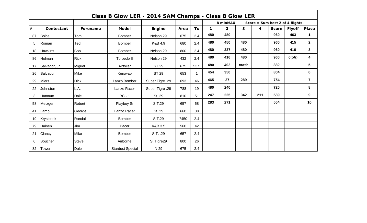|      |                |              | Class B Glow LER - 2014 SAM Champs - Class B Glow LER |                 |      |      |             |                |                |     |                                  |               |                      |
|------|----------------|--------------|-------------------------------------------------------|-----------------|------|------|-------------|----------------|----------------|-----|----------------------------------|---------------|----------------------|
|      |                |              |                                                       |                 |      |      |             | 8 minMAX       |                |     | Score = Sum best 2 of 4 flights. |               |                      |
| $\#$ | Contestant     | Forename     | <b>Model</b>                                          | Engine          | Area | Tx   | $\mathbf 1$ | $\overline{2}$ | $\overline{3}$ | 4   | <b>Score</b>                     | <b>Flyoff</b> | <b>Place</b>         |
| 87   | Boice          | Tom          | <b>Bomber</b>                                         | Nelson 29       | 675  | 2.4  | 480         | 480            |                |     | 960                              | 463           | $\blacktriangleleft$ |
| 5    | Roman          | Ted          | <b>Bomber</b>                                         | K&B 4.9         | 680  | 2.4  | 480         | 450            | 480            |     | 960                              | 415           | $\mathbf{2}$         |
| 18   | <b>Hawkins</b> | <b>Bob</b>   | <b>Bomber</b>                                         | Nelson 29       | 800  | 2.4  | 480         | 337            | 480            |     | 960                              | 410           | $\overline{3}$       |
| 86   | Holman         | <b>Rick</b>  | Torpedo II                                            | Nelson 29       | 432  | 2.4  | 480         | 416            | 480            |     | 960                              | $0($ o/r $)$  | 4                    |
| 17   | Salvador, Jr   | Miguel       | Airfoiler                                             | <b>ST 29</b>    | 675  | 53.5 | 480         | 402            | crash          |     | 882                              |               | $5\phantom{1}$       |
| 26   | Salvador       | Mike         | Kerswap                                               | <b>ST 29</b>    | 653  |      | 454         | 350            |                |     | 804                              |               | 6                    |
| 29   | <b>Miers</b>   | <b>Dick</b>  | Lanzo Bomber                                          | Super Tigre .29 | 693  | 46   | 465         | 27             | 289            |     | 754                              |               | $\overline{7}$       |
| 22   | Johnston       | L.A.         | Lanzo Racer                                           | Super Tigre .29 | 788  | 19   | 480         | 240            |                |     | 720                              |               | 8                    |
| 3    | Hannum         | Dale         | $RC - 1$                                              | St.29           | 810  | 51   | 247         | 225            | 342            | 211 | 589                              |               | 9                    |
| 58   | Metzger        | Robert       | Playboy Sr                                            | S.T.29          | 657  | 58   | 283         | 271            |                |     | 554                              |               | 10                   |
| 41   | Lamb           | George       | Lanzo Racer                                           | St.29           | 660  | 38   |             |                |                |     |                                  |               |                      |
| 19   | Krystosek      | Randall      | <b>Bomber</b>                                         | S.T.29          | ?450 | 2.4  |             |                |                |     |                                  |               |                      |
| 79   | Hainen         | Jim          | Pacer                                                 | K&B 3.5         | 560  | 42   |             |                |                |     |                                  |               |                      |
| 21   | Clancy         | Mike         | Bomber                                                | S.T. .29        | 657  | 2.4  |             |                |                |     |                                  |               |                      |
| 6    | <b>Boucher</b> | <b>Steve</b> | Airborne                                              | S. Tigre29      | 800  | 26   |             |                |                |     |                                  |               |                      |
| 82   | <b>Tower</b>   | Dale         | <b>Stardust Special</b>                               | N 29            | 675  | 2.4  |             |                |                |     |                                  |               |                      |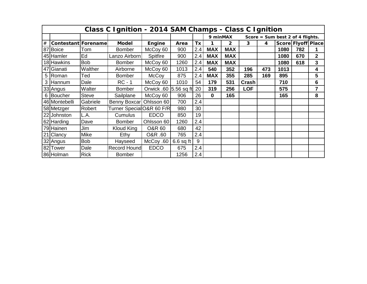|      |                                                                                                                                                                 |              | Class C Ignition - 2014 SAM Champs - Class C Ignition |                         |             |     |             |            |            |     |      |     |                |  |
|------|-----------------------------------------------------------------------------------------------------------------------------------------------------------------|--------------|-------------------------------------------------------|-------------------------|-------------|-----|-------------|------------|------------|-----|------|-----|----------------|--|
|      | 9 minMAX<br>Score = Sum best 2 of 4 flights.<br>Score Flyoff Place<br><b>Model</b><br>4<br><b>Contestant Forename</b><br>Tx<br>$\overline{2}$<br>3<br>Area<br>1 |              |                                                       |                         |             |     |             |            |            |     |      |     |                |  |
| $\#$ |                                                                                                                                                                 |              |                                                       | Engine                  |             |     |             |            |            |     |      |     |                |  |
|      | 87 Boice                                                                                                                                                        | Tom          | <b>Bomber</b>                                         | McCoy 60                | 900         | 2.4 | <b>MAX</b>  | <b>MAX</b> |            |     | 1080 | 782 |                |  |
|      | 45 Hamler                                                                                                                                                       | Ed           | Lanzo Airborn                                         | Spitfire                | 900         | 2.4 | <b>MAX</b>  | <b>MAX</b> |            |     | 1080 | 670 | $\overline{2}$ |  |
|      | 18 Hawkins                                                                                                                                                      | <b>Bob</b>   | <b>Bomber</b>                                         | McCoy 60                | 1260        | 2.4 | <b>MAX</b>  | <b>MAX</b> |            |     | 1080 | 618 | 3              |  |
|      | 47 Gianati                                                                                                                                                      | Walther      | Airborne                                              | McCoy 60                | 1013        | 2.4 | 540         | 352        | 196        | 473 | 1013 |     | 4              |  |
| 5    | Roman                                                                                                                                                           | Ted          | <b>Bomber</b>                                         | <b>McCoy</b>            | 875         | 2.4 | <b>MAX</b>  | 355        | 285        | 169 | 895  |     | 5              |  |
|      | 3 Hannum                                                                                                                                                        | Dale         | $RC - 1$                                              | McCoy 60                | 1010        | 54  | 179         | 531        | Crash      |     | 710  |     | 6              |  |
|      | 33 Angus                                                                                                                                                        | Walter       | <b>Bomber</b>                                         | Orwick .60   5.56 sq ft |             | 20  | 319         | 256        | <b>LOF</b> |     | 575  |     | $\overline{7}$ |  |
|      | 6 Boucher                                                                                                                                                       | <b>Steve</b> | Sailplane                                             | McCoy 60                | 906         | 26  | $\mathbf 0$ | 165        |            |     | 165  |     | 8              |  |
|      | 46 Montebelli                                                                                                                                                   | Gabriele     | Benny Boxcar Ohlsson 60                               |                         | 700         | 2.4 |             |            |            |     |      |     |                |  |
|      | 58 Metzger                                                                                                                                                      | Robert       | Turner SpecialO&R 60 F/R                              |                         | 980         | 30  |             |            |            |     |      |     |                |  |
|      | 22 Johnston                                                                                                                                                     | L.A.         | Cumulus                                               | <b>EDCO</b>             | 850         | 19  |             |            |            |     |      |     |                |  |
|      | 62 Harding                                                                                                                                                      | Dave         | <b>Bomber</b>                                         | Ohlsson 60              | 1260        | 2.4 |             |            |            |     |      |     |                |  |
|      | 79 Hainen                                                                                                                                                       | Jim          | Kloud King                                            | <b>O&amp;R 60</b>       | 680         | 42  |             |            |            |     |      |     |                |  |
|      | 21 Clancy                                                                                                                                                       | Mike         | Ethy                                                  | O&R .60                 | 765         | 2.4 |             |            |            |     |      |     |                |  |
|      | 32 Angus                                                                                                                                                        | <b>Bob</b>   | Hayseed                                               | McCoy .60               | $6.6$ sq ft | 9   |             |            |            |     |      |     |                |  |
|      | 82 Tower                                                                                                                                                        | Dale         | Record Hound                                          | <b>EDCO</b>             | 675         | 2.4 |             |            |            |     |      |     |                |  |
|      | 86 Holman                                                                                                                                                       | <b>Rick</b>  | <b>Bomber</b>                                         |                         | 1256        | 2.4 |             |            |            |     |      |     |                |  |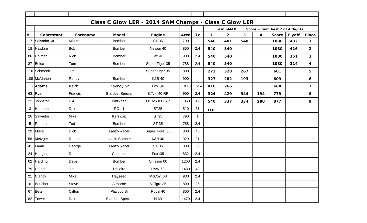|      |              |             |                         | Class C Glow LER - 2014 SAM Champs - Class C Glow LER |      |             |              |                |              |                         |                                  |               |                         |
|------|--------------|-------------|-------------------------|-------------------------------------------------------|------|-------------|--------------|----------------|--------------|-------------------------|----------------------------------|---------------|-------------------------|
|      |              |             |                         |                                                       |      |             |              | 9 minMAX       |              |                         | Score = Sum best 2 of 4 flights. |               |                         |
| $\#$ | Contestant   | Forename    | <b>Model</b>            | <b>Engine</b>                                         | Area | Tx          | $\mathbf{1}$ | $\overline{2}$ | $\mathbf{3}$ | $\overline{\mathbf{4}}$ | <b>Score</b>                     | <b>Flyoff</b> | <b>Place</b>            |
| 17   | Salvador, Jr | Miguel      | Bomber                  | ST 35                                                 | 790  |             | 540          | 481            | 540          |                         | 1080                             | 432           | $\mathbf 1$             |
|      | 18 Hawkins   | <b>Bob</b>  | <b>Bomber</b>           | Nelson 40                                             | 850  | 2.4         | 540          | 540            |              |                         | 1080                             | 416           | $\overline{2}$          |
| 86   | Holman       | <b>Rick</b> | Bomber                  | Jett 40                                               | 900  | 2.4         | 540          | 540            |              |                         | 1080                             | 351           | 3                       |
|      | 87 Boice     | Tom         | Bomber                  | Super Tiger 35                                        | 788  | 2.4         | 540          | 540            |              |                         | 1080                             | 314           | 4                       |
|      | 110 Schmenk  | Jim         |                         | Super Tiger 35                                        | 800  |             | 273          | 328            | 267          |                         | 601                              |               | 5                       |
|      | 109 McMahon  | Randy       | Bomber                  | K&B 40                                                | 900  |             | 327          | 282            | 193          |                         | 609                              |               | 6                       |
|      | 12 Adams     | Keith       | Playboy Sr              | <b>Fox 36</b>                                         | 810  | 2.4         | 418          | 266            |              |                         | 684                              |               | $\overline{\mathbf{z}}$ |
|      | 63 Ryan      | Francis     | <b>Stardust Special</b> | S.T. - .40 RR                                         | 900  | 2.4         | 324          | 429            | 344          | 194                     | 773                              |               | 8                       |
| 22   | Johnston     | L.A.        | <b>Blitzkrieg</b>       | OS MAX H RR                                           | 1350 | 19          | 540          | 337            | 334          | 280                     | 877                              |               | 9                       |
| 3    | Hannum       | Dale        | $RC - 1$                | <b>ST35</b>                                           | 810  | 51          | <b>LOF</b>   |                |              |                         |                                  |               |                         |
|      | 26 Salvador  | Mike        | Kerswap                 | <b>ST35</b>                                           | 790  | $\mathbf 1$ |              |                |              |                         |                                  |               |                         |
| 5    | Roman        | Ted         | Bomber                  | <b>ST 35</b>                                          | 788  | 2.4         |              |                |              |                         |                                  |               |                         |
| 29   | <b>Miers</b> | <b>Dick</b> | Lanzo Racer             | Super Tigre .35                                       | 800  | 46          |              |                |              |                         |                                  |               |                         |
|      | 58 Metzger   | Robert      | Lanzo Bomber            | K&B 40                                                | 929  | 21          |              |                |              |                         |                                  |               |                         |
|      | 41 Lamb      | George      | Lanzo Racer             | ST 35                                                 | 800  | 38          |              |                |              |                         |                                  |               |                         |
|      | 24 Hudgins   | Don         | Cumulus                 | Fox .35                                               | 832  | 2.4         |              |                |              |                         |                                  |               |                         |
|      | 62 Harding   | Dave        | <b>Bomber</b>           | Ohlsson 60                                            | 1260 | 2.4         |              |                |              |                         |                                  |               |                         |
|      | 79 Hainen    | Jim         | Dallaire                | <b>PAW 60</b>                                         | 1480 | 42          |              |                |              |                         |                                  |               |                         |
|      | 21 Clancy    | Mike        | Hayseed                 | McCoy .60                                             | 930  | 2.4         |              |                |              |                         |                                  |               |                         |
|      | 6 Boucher    | Steve       | Airborne                | S.Tigre 35                                            | 800  | 26          |              |                |              |                         |                                  |               |                         |
|      | 67 Betz      | Clifton     | Playboy Sr              | Royal 40                                              | 800  | 2.4         |              |                |              |                         |                                  |               |                         |
|      | 82 Tower     | Dale        | <b>Stardust Special</b> | N 60                                                  | 1470 | 2.4         |              |                |              |                         |                                  |               |                         |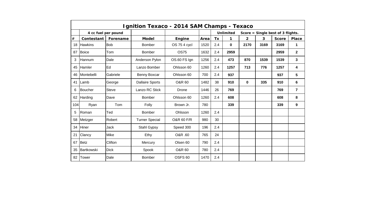|      |                     |             | Ignition Texaco - 2014 SAM Champs - Texaco |                    |      |           |                  |                |                         |                                   |              |
|------|---------------------|-------------|--------------------------------------------|--------------------|------|-----------|------------------|----------------|-------------------------|-----------------------------------|--------------|
|      | 4 cc fuel per pound |             |                                            |                    |      |           | <b>Unlimited</b> |                |                         | Score = Single best of 3 flights. |              |
| $\#$ | <b>Contestant</b>   | Forename    | <b>Model</b>                               | Engine             | Area | <b>Tx</b> | 1                | $\overline{2}$ | $\overline{\mathbf{3}}$ | <b>Score</b>                      | <b>Place</b> |
| 18   | <b>Hawkins</b>      | <b>Bob</b>  | <b>Bomber</b>                              | OS 75 4 cycl       | 1520 | 2.4       | $\bf{0}$         | 2170           | 3169                    | 3169                              | 1            |
| 87   | <b>Boice</b>        | Tom         | <b>Bomber</b>                              | <b>OS75</b>        | 1632 | 2.4       | 2959             |                |                         | 2959                              | $\mathbf{2}$ |
| 3    | Hannum              | Dale        | Anderson Pylon                             | OS.60 FS Ign       | 1256 | 2.4       | 473              | 870            | 1539                    | 1539                              | 3            |
| 45   | <b>Hamler</b>       | Ed          | Lanzo Bomber                               | Ohlsson 60         | 1260 | 2.4       | 1257             | 713            | 776                     | 1257                              | 4            |
| 46   | Montebelli          | Gabriele    | Benny Boxcar                               | Ohlsson 60         | 700  | 2.4       | 937              |                |                         | 937                               | 5            |
| 41   | <b>Lamb</b>         | George      | <b>Dallaire Sports</b>                     | <b>O&amp;R 60</b>  | 1482 | 38        | 910              | 0              | 335                     | 910                               | 6            |
| 6    | Boucher             | Steve       | Lanzo RC Stick                             | Drone              | 1446 | 26        | 769              |                |                         | 769                               | 7            |
| 62   | Harding             | Dave        | <b>Bomber</b>                              | Ohlsson 60         | 1260 | 2.4       | 608              |                |                         | 608                               | 8            |
| 104  | Ryan                | Tom         | Folly                                      | Brown Jr.          | 780  |           | 339              |                |                         | 339                               | 9            |
| 5    | Roman               | Ted         | Bomber                                     | Ohlsson            | 1260 | 2.4       |                  |                |                         |                                   |              |
| 58   | Metzger             | Robert      | <b>Turner Special</b>                      | O&R 60 F/R         | 980  | 30        |                  |                |                         |                                   |              |
| 34   | <b>Hiner</b>        | Jack        | Stahl Gypsy                                | Speed 300          | 196  | 2.4       |                  |                |                         |                                   |              |
| 21   | Clancy              | Mike        | Ethy                                       | O&R .60            | 765  | 24        |                  |                |                         |                                   |              |
| 67   | Betz                | Clifton     | Mercury                                    | Olsen 60           | 790  | 2.4       |                  |                |                         |                                   |              |
| 35   | Bartkowski          | <b>Dick</b> | Spook                                      | <b>O&amp;R 60</b>  | 780  | 2.4       |                  |                |                         |                                   |              |
| 82   | Tower               | Dale        | <b>Bomber</b>                              | OSFS <sub>60</sub> | 1470 | 2.4       |                  |                |                         |                                   |              |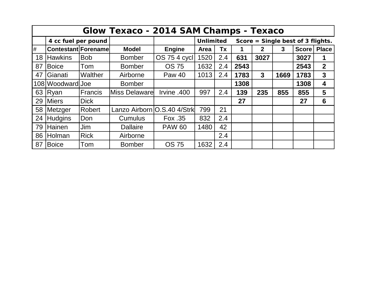|    |                             |                | Glow Texaco - 2014 SAM Champs - Texaco |               |                  |     |      |              |      |                                   |                |
|----|-----------------------------|----------------|----------------------------------------|---------------|------------------|-----|------|--------------|------|-----------------------------------|----------------|
|    | 4 cc fuel per pound         |                |                                        |               | <b>Unlimited</b> |     |      |              |      | Score = Single best of 3 flights. |                |
| #  | <b>Contestant Forenamel</b> |                | <b>Model</b>                           | <b>Engine</b> | <b>Area</b>      | Tx  |      | $\mathbf{2}$ | 3    | <b>Score</b>                      | <b>Place</b>   |
| 18 | <b>Hawkins</b>              | <b>Bob</b>     | <b>Bomber</b>                          | OS 75 4 cycl  | 1520             | 2.4 | 631  | 3027         |      | 3027                              | 1              |
| 87 | <b>Boice</b>                | Tom            | <b>Bomber</b>                          | <b>OS 75</b>  | 1632             | 2.4 | 2543 |              |      | 2543                              | $\overline{2}$ |
| 47 | Gianati                     | <b>Walther</b> | Airborne                               | <b>Paw 40</b> | 1013             | 2.4 | 1783 | 3            | 1669 | 1783                              | 3              |
|    | 108 Woodward Joe            |                | <b>Bomber</b>                          |               |                  |     | 1308 |              |      | 1308                              | 4              |
| 63 | Ryan                        | <b>Francis</b> | <b>Miss Delaware</b>                   | lrvine .400   | 997              | 2.4 | 139  | 235          | 855  | 855                               | $5\phantom{1}$ |
| 29 | <b>Miers</b>                | <b>Dick</b>    |                                        |               |                  |     | 27   |              |      | 27                                | 6              |
| 58 | Metzger                     | Robert         | Lanzo Airborn O.S.40 4/Strk            |               | 799              | 21  |      |              |      |                                   |                |
| 24 | <b>Hudgins</b>              | Don            | <b>Cumulus</b>                         | Fox .35       | 832              | 2.4 |      |              |      |                                   |                |
| 79 | Hainen                      | Jim            | <b>Dallaire</b>                        | <b>PAW 60</b> | 1480             | 42  |      |              |      |                                   |                |
| 86 | Holman                      | <b>Rick</b>    | Airborne                               |               |                  | 2.4 |      |              |      |                                   |                |
| 87 | <b>Boice</b>                | Tom            | <b>Bomber</b>                          | <b>OS 75</b>  | 1632             | 2.4 |      |              |      |                                   |                |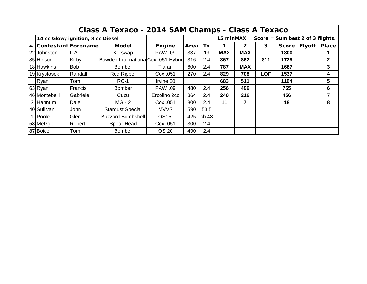|                                  |            | Class A Texaco - 2014 SAM Champs - Class A Texaco |                |       |       |            |                |                                  |              |                |              |
|----------------------------------|------------|---------------------------------------------------|----------------|-------|-------|------------|----------------|----------------------------------|--------------|----------------|--------------|
| 14 cc Glow/ignition, 8 cc Diesel |            |                                                   |                |       |       | 15 minMAX  |                | Score = Sum best 2 of 3 flights. |              |                |              |
| # Contestant Forename            |            | <b>Model</b>                                      | Engine         | Areal | Tx    |            | $\overline{2}$ | 3                                | <b>Score</b> | Flyoff   Place |              |
| 22 Johnston                      | L.A.       | Kerswap                                           | <b>PAW .09</b> | 337   | 19    | <b>MAX</b> | <b>MAX</b>     |                                  | 1800         |                |              |
| 85 Hinson                        | Kirby      | Bowden InternationalCox .051 Hybrid               |                | 316   | 2.4   | 867        | 862            | 811                              | 1729         |                | $\mathbf{2}$ |
| 18 Hawkins                       | <b>Bob</b> | <b>Bomber</b>                                     | Tiafan         | 600   | 2.4   | 787        | <b>MAX</b>     |                                  | 1687         |                | 3            |
| 19 Krystosek                     | Randall    | <b>Red Ripper</b>                                 | Cox .051       | 270   | 2.4   | 829        | 708            | <b>LOF</b>                       | 1537         |                | 4            |
| Ryan                             | Tom        | $RC-1$                                            | Irvine 20      |       |       | 683        | 511            |                                  | 1194         |                | 5            |
| 63 Ryan                          | Francis    | <b>Bomber</b>                                     | <b>PAW .09</b> | 480   | 2.4   | 256        | 496            |                                  | 755          |                | 6            |
| 46 Montebelli                    | Gabriele   | Cucu                                              | Ercolino 2cc   | 364   | 2.4   | 240        | 216            |                                  | 456          |                | 7            |
| 3 Hannum                         | Dale       | $MG - 2$                                          | Cox .051       | 300   | 2.4   | 11         | 7              |                                  | 18           |                | 8            |
| 40 Sullivan                      | John       | <b>Stardust Special</b>                           | <b>MVVS</b>    | 590   | 53.5  |            |                |                                  |              |                |              |
| 1 Poole                          | Glen       | <b>Buzzard Bombshell</b>                          | <b>OS15</b>    | 425   | ch 48 |            |                |                                  |              |                |              |
| 58 Metzger                       | Robert     | Spear Head                                        | Cox .051       | 300   | 2.4   |            |                |                                  |              |                |              |
| 87 Boice                         | Tom        | <b>Bomber</b>                                     | <b>OS 20</b>   | 490   | 2.4   |            |                |                                  |              |                |              |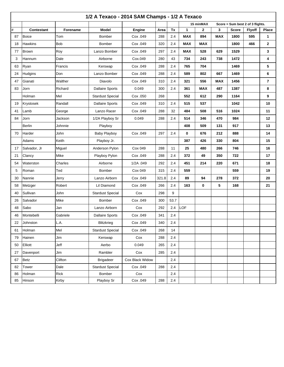|    |                   |            | 1/2 A Texaco - 2014 SAM Champs - 1/2 A Texaco |                 |       |      |            |            |            |                                  |               |                |
|----|-------------------|------------|-----------------------------------------------|-----------------|-------|------|------------|------------|------------|----------------------------------|---------------|----------------|
|    |                   |            |                                               |                 |       |      |            | 15 minMAX  |            | Score = Sum best 2 of 3 flights. |               |                |
| #  | <b>Contestant</b> | Forename   | <b>Model</b>                                  | Engine          | Area  | Tx   | 1          | 2          | 3          | <b>Score</b>                     | <b>Flyoff</b> | <b>Place</b>   |
| 87 | <b>Boice</b>      | Tom        | <b>Bomber</b>                                 | Cox .049        | 288   | 2.4  | <b>MAX</b> | 894        | <b>MAX</b> | 1800                             | 595           | 1              |
| 18 | <b>Hawkins</b>    | <b>Bob</b> | <b>Bomber</b>                                 | Cox .049        | 320   | 2.4  | <b>MAX</b> | <b>MAX</b> |            | 1800                             | 466           | $\mathbf{2}$   |
| 77 | Brown             | Roy        | Lanzo Bomber                                  | Cox .049        | 297   | 2.4  | MAX        | 528        | 629        | 1529                             |               | 3              |
| 3  | Hannum            | Dale       | Airborne                                      | Cox.049         | 280   | 43   | 734        | 243        | 738        | 1472                             |               | 4              |
| 63 | Ryan              | Francis    | Kerswap                                       | Cox .049        | 288   | 2.4  | 765        | 704        |            | 1469                             |               | 5              |
| 24 | <b>Hudgins</b>    | Don        | Lanzo Bomber                                  | Cox .049        | 288   | 2.4  | 589        | 802        | 667        | 1469                             |               | 6              |
| 47 | Gianati           | Walther    | Diavolo                                       | Cox .049        | 310   | 2.4  | 321        | 556        | <b>MAX</b> | 1456                             |               | $\overline{7}$ |
| 83 | Jorn              | Richard    | <b>Dallaire Sports</b>                        | 0.049           | 300   | 2.4  | 361        | <b>MAX</b> | 487        | 1387                             |               | 8              |
|    | Holman            | Mel        | <b>Stardust Special</b>                       | Cox .050        | 268   |      | 552        | 612        | 290        | 1164                             |               | 9              |
| 19 | Krystosek         | Randall    | <b>Dallaire Sports</b>                        | Cox .049        | 310   | 2.4  | 515        | 537        |            | 1042                             |               | 10             |
| 41 | Lamb              | George     | Lanzo Racer                                   | Cox .049        | 288   | 32   | 484        | 508        | 516        | 1024                             |               | 11             |
| 84 | Jorn              | Jackson    | 1/2A Playboy Sr                               | 0.049           | 288   | 2.4  | 514        | 346        | 470        | 984                              |               | 12             |
|    | <b>Berlin</b>     | Johnnie    | Playboy                                       |                 |       |      | 408        | 509        | 131        | 917                              |               | 13             |
| 70 | Harder            | John       | <b>Baby Playboy</b>                           | Cox .049        | 297   | 2.4  | 0          | 676        | 212        | 888                              |               | 14             |
|    | Adams             | Keith      | Playboy Jr.                                   |                 |       |      | 387        | 426        | 330        | 804                              |               | 15             |
| 17 | Salvador, Jr      | Miguel     | Anderson Pylon                                | Cox 049         | 288   | 11   | 25         | 480        | 266        | 746                              |               | 16             |
| 21 | Clancy            | Mike       | Playboy Pylon                                 | Cox .049        | 288   | 2.4  | 372        | 49         | 350        | 722                              |               | 17             |
| 54 | Waterston         | Charles    | Airborne                                      | 1/2A .049       | 292   | 2.4  | 451        | 214        | 220        | 671                              |               | 18             |
| 5  | Roman             | Ted        | Bomber                                        | Cox 049         | 315   | 2.4  | 559        |            |            | 559                              |               | 19             |
| 30 | Nannie            | Jerry      | Lanzo Airborn                                 | Cox .049        | 321.8 | 2.4  | 89         | 94         | 278        | 372                              |               | 20             |
| 58 | Metzger           | Robert     | Lil Diamond                                   | Cox .049        | 266   | 2.4  | 163        | 0          | 5          | 168                              |               | 21             |
| 40 | Sullivan          | John       | <b>Stardust Special</b>                       | Cox             | 298   | 9    |            |            |            |                                  |               |                |
| 26 | Salvador          | Mike       | Bomber                                        | Cox .049        | 300   | 53.7 |            |            |            |                                  |               |                |
| 48 | Sabo              | Jan        | Lanzo Airborn                                 | Cox             | 292   | 2.4  | LOF        |            |            |                                  |               |                |
| 46 | Montebelli        | Gabriele   | <b>Dallaire Sports</b>                        | Cox .049        | 341   | 2.4  |            |            |            |                                  |               |                |
| 22 | Johnston          | L.A.       | Blitzkrieg                                    | Cox .049        | 340   | 2.4  |            |            |            |                                  |               |                |
| 61 | Holman            | Mel        | <b>Stardust Special</b>                       | Cox .049        | 268   | 14   |            |            |            |                                  |               |                |
| 79 | Hainen            | Jim        | Kerswap                                       | Cox             | 288   | 2.4  |            |            |            |                                  |               |                |
| 50 | Elliott           | Jeff       | Aerbo                                         | 0.049           | 265   | 2.4  |            |            |            |                                  |               |                |
| 27 | Davenport         | Jim        | Rambler                                       | Cox             | 285   | 2.4  |            |            |            |                                  |               |                |
| 67 | Betz              | Clifton    | <b>Brigadeer</b>                              | Cox Black Widow |       | 2.4  |            |            |            |                                  |               |                |
| 82 | Tower             | Dale       | <b>Stardust Special</b>                       | Cox .049        | 288   | 2.4  |            |            |            |                                  |               |                |
| 86 | Holman            | Rick       | Bomber                                        | Cox             |       | 2.4  |            |            |            |                                  |               |                |
| 85 | Hinson            | Kirby      | Playboy Sr                                    | Cox .049        | 288   | 2.4  |            |            |            |                                  |               |                |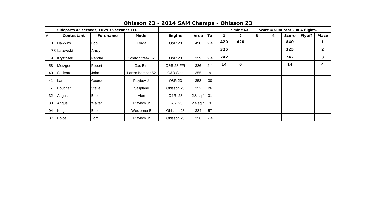|      |                |                                            | Ohlsson 23 - 2014 SAM Champs - Ohlsson 23 |                       |            |     |     |                |              |   |                                  |               |                |
|------|----------------|--------------------------------------------|-------------------------------------------|-----------------------|------------|-----|-----|----------------|--------------|---|----------------------------------|---------------|----------------|
|      |                | Sideports 45 seconds, FRVs 35 seconds LER. |                                           |                       |            |     |     | 7 minMAX       |              |   | Score = Sum best 2 of 4 flights. |               |                |
| $\#$ | Contestant     | Forename                                   | <b>Model</b>                              | Engine                | Area       | Tx  |     | $\overline{2}$ | $\mathbf{3}$ | 4 | <b>Score</b>                     | <b>Flyoff</b> | <b>Place</b>   |
| 18   | <b>Hawkins</b> | <b>Bob</b>                                 | Korda                                     | O&R 23                | 450        | 2.4 | 420 | 420            |              |   | 840                              |               | 1              |
|      | 73 Latowski    | Andy                                       |                                           |                       |            |     | 325 |                |              |   | 325                              |               | $\overline{2}$ |
| 19   | Krystosek      | Randall                                    | Strato Streak 52                          | O&R 23                | 359        | 2.4 | 242 |                |              |   | 242                              |               | 3              |
| 58   | Metzger        | Robert                                     | <b>Gas Bird</b>                           | <b>O&amp;R 23 F/R</b> | 386        | 2.4 | 14  | 0              |              |   | 14                               |               | 4              |
| 40   | Sullivan       | John                                       | Lanzo Bomber 52                           | O&R Side              | 355        | 9   |     |                |              |   |                                  |               |                |
| 41   | lLamb          | George                                     | Playboy Jr                                | O&R 23                | 358        | 30  |     |                |              |   |                                  |               |                |
| 6    | <b>Boucher</b> | <b>Steve</b>                               | Sailplane                                 | Ohlsson 23            | 352        | 26  |     |                |              |   |                                  |               |                |
| 32   | Angus          | <b>Bob</b>                                 | Alert                                     | O&R .23               | $2.8$ sq f | 31  |     |                |              |   |                                  |               |                |
| 33   | Angus          | Walter                                     | Playboy Jr                                | O&R .23               | 2.4 $sqf$  | 3   |     |                |              |   |                                  |               |                |
| 94   | King           | <b>Bob</b>                                 | Westerner B                               | Ohlsson 23            | 384        | 57  |     |                |              |   |                                  |               |                |
| 87   | Boice          | Tom                                        | Playboy Jr                                | Ohlsson 23            | 358        | 2.4 |     |                |              |   |                                  |               |                |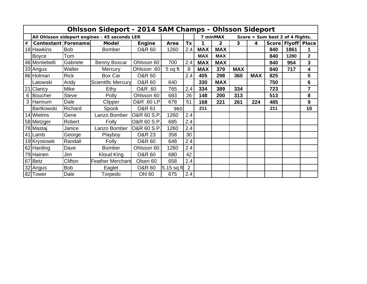|   |                       |              | <b>Ohlsson Sideport - 2014 SAM Champs - Ohlsson Sideport</b> |                       |              |     |            |            |            |                         |                                    |      |                        |
|---|-----------------------|--------------|--------------------------------------------------------------|-----------------------|--------------|-----|------------|------------|------------|-------------------------|------------------------------------|------|------------------------|
|   |                       |              | All Ohlsson sideport engines - 45 seconds LER                |                       |              |     |            | 7 minMAX   |            |                         | Score = $Sum best 2 of 4 flights.$ |      |                        |
| # | Contestant   Forename |              | <b>Model</b>                                                 | Engine                | Area         | Tx  | 1          | 2          | 3          | $\overline{\mathbf{4}}$ |                                    |      | Score   Flyoff   Place |
|   | 18 Hawkins            | <b>Bob</b>   | <b>Bomber</b>                                                | <b>O&amp;R 60</b>     | 1260         | 2.4 | <b>MAX</b> | <b>MAX</b> |            |                         | 840                                | 1861 |                        |
|   | <b>Boyce</b>          | Tom          |                                                              |                       |              |     | <b>MAX</b> | <b>MAX</b> |            |                         | 840                                | 1280 | $\mathbf{2}$           |
|   | 46 Montebelli         | Gabriele     | Benny Boxcar                                                 | Ohlsson 60            | 700          | 2.4 | <b>MAX</b> | <b>MAX</b> |            |                         | 840                                | 954  | 3                      |
|   | 33 Angus              | Walter       | Mercury                                                      | Ohlsson .60           | 5 sq ft      | 8   | <b>MAX</b> | 379        | <b>MAX</b> |                         | 840                                | 717  | 4                      |
|   | 86 Holman             | <b>Rick</b>  | Box Car                                                      | <b>O&amp;R 60</b>     |              | 2.4 | 405        | 298        | 360        | <b>MAX</b>              | 825                                |      | 5                      |
|   | Latowski              | Andy         | <b>Scientific Mercury</b>                                    | <b>O&amp;R 60</b>     | 640          |     | 330        | <b>MAX</b> |            |                         | 750                                |      | 6                      |
|   | 21 Clancy             | Mike         | Ethy                                                         | 08R.60                | 765          | 2.4 | 334        | 389        | 334        |                         | 723                                |      | 7                      |
|   | 6 Boucher             | <b>Steve</b> | Polly                                                        | Ohlsson 60            | 683          | 26  | 148        | 200        | 313        |                         | 513                                |      | 8                      |
|   | 3 Hannum              | Dale         | Clipper                                                      | <b>O&amp;R .60 LP</b> | 678          | 51  | 168        | 221        | 261        | 224                     | 485                                |      | 9                      |
|   | <b>Bartkowski</b>     | Richard      | Spook                                                        | <b>O&amp;R 61</b>     | 960          |     | 211        |            |            |                         | 211                                |      | 10                     |
|   | 14 Wielms             | Gene         | Lanzo Bomber                                                 | O&R 60 S.P.           | 1260         | 2.4 |            |            |            |                         |                                    |      |                        |
|   | 58 Metzger            | Robert       | Folly                                                        | O&R 60 S.P.           | 685          | 2.4 |            |            |            |                         |                                    |      |                        |
|   | 78 Mastaj             | Janice       | Lanzo Bomber                                                 | O&R 60 S.P.           | 1260         | 2.4 |            |            |            |                         |                                    |      |                        |
|   | 41 Lamb               | George       | Playboy                                                      | <b>O&amp;R 23</b>     | 358          | 30  |            |            |            |                         |                                    |      |                        |
|   | 19 Krystosek          | Randall      | Folly                                                        | <b>O&amp;R 60</b>     | 648          | 2.4 |            |            |            |                         |                                    |      |                        |
|   | 62 Harding            | Dave         | <b>Bomber</b>                                                | Ohlsson 60            | 1260         | 2.4 |            |            |            |                         |                                    |      |                        |
|   | 79 Hainen             | Jim          | Kloud King                                                   | <b>O&amp;R 60</b>     | 680          | 42  |            |            |            |                         |                                    |      |                        |
|   | 67 Betz               | Clifton      | <b>Feather Merchant</b>                                      | Olsen 60              | 658          | 2.4 |            |            |            |                         |                                    |      |                        |
|   | 32 Angus              | <b>Bob</b>   | Eaglet                                                       | <b>O&amp;R 60</b>     | $5.15$ sq ft | 2   |            |            |            |                         |                                    |      |                        |
|   | 82 Tower              | Dale         | Torpedo                                                      | <b>Ohl 60</b>         | 675          | 2.4 |            |            |            |                         |                                    |      |                        |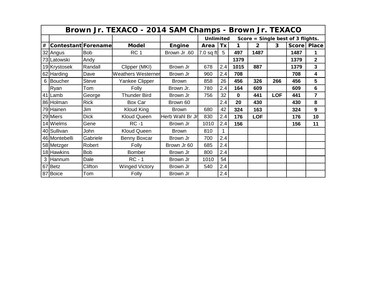|      | Brown Jr. TEXACO - 2014 SAM Champs - Brown Jr. TEXACO |              |                           |                 |                  |     |          |                |            |                                   |                |  |  |  |
|------|-------------------------------------------------------|--------------|---------------------------|-----------------|------------------|-----|----------|----------------|------------|-----------------------------------|----------------|--|--|--|
|      |                                                       |              |                           |                 | <b>Unlimited</b> |     |          |                |            | Score = Single best of 3 flights. |                |  |  |  |
| $\#$ | Contestant Forename                                   |              | <b>Model</b>              | Engine          | Area             | Tx  | 1        | $\overline{2}$ | 3          | Score   Place                     |                |  |  |  |
|      | 32 Angus                                              | <b>Bob</b>   | RC <sub>1</sub>           | Brown Jr.60     | $7.0$ sq ft      | 5   | 497      | 1487           |            | 1487                              | 1              |  |  |  |
|      | 73 Latowski                                           | Andy         |                           |                 |                  |     | 1379     |                |            | 1379                              | $\overline{2}$ |  |  |  |
|      | 19 Krystosek                                          | Randall      | Clipper (MKI)             | Brown Jr        | 678              | 2.4 | 1015     | 887            |            | 1379                              | 3              |  |  |  |
|      | 62 Harding                                            | Dave         | <b>Weathers Westerner</b> | Brown Jr        | 960              | 2.4 | 708      |                |            | 708                               | 4              |  |  |  |
| 6    | Boucher                                               | <b>Steve</b> | Yankee Clipper            | <b>Brown</b>    | 858              | 26  | 456      | 326            | 266        | 456                               | 5              |  |  |  |
|      | Ryan                                                  | Tom          | Folly                     | Brown Jr.       | 780              | 2.4 | 164      | 609            |            | 609                               | 6              |  |  |  |
|      | 41 Lamb                                               | George       | <b>Thunder Bird</b>       | Brown Jr        | 756              | 32  | $\bf{0}$ | 441            | <b>LOF</b> | 441                               | 7              |  |  |  |
|      | 86 Holman                                             | <b>Rick</b>  | Box Car                   | Brown 60        |                  | 2.4 | 20       | 430            |            | 430                               | 8              |  |  |  |
|      | 79 Hainen                                             | Jim          | Kloud King                | <b>Brown</b>    | 680              | 42  | 324      | 163            |            | 324                               | 9              |  |  |  |
|      | 29 Miers                                              | <b>Dick</b>  | <b>Kloud Queen</b>        | Herb Wahl Br Jr | 830              | 2.4 | 176      | <b>LOF</b>     |            | 176                               | 10             |  |  |  |
|      | 14 Wielms                                             | Gene         | $RC -1$                   | Brown Jr        | 1010             | 2.4 | 156      |                |            | 156                               | 11             |  |  |  |
|      | 40 Sullivan                                           | John         | <b>Kloud Queen</b>        | <b>Brown</b>    | 810              | 1   |          |                |            |                                   |                |  |  |  |
|      | 46 Montebelli                                         | Gabriele     | Benny Boxcar              | Brown Jr        | 700              | 2.4 |          |                |            |                                   |                |  |  |  |
|      | 58 Metzger                                            | Robert       | Folly                     | Brown Jr 60     | 685              | 2.4 |          |                |            |                                   |                |  |  |  |
|      | 18 Hawkins                                            | <b>Bob</b>   | <b>Bomber</b>             | Brown Jr        | 800              | 2.4 |          |                |            |                                   |                |  |  |  |
| 3    | Hannum                                                | Dale         | $RC - 1$                  | Brown Jr        | 1010             | 54  |          |                |            |                                   |                |  |  |  |
|      | 67 Betz                                               | Clifton      | <b>Winged Victory</b>     | Brown Jr        | 540              | 2.4 |          |                |            |                                   |                |  |  |  |
|      | 87 Boice                                              | Tom          | Folly                     | Brown Jr        |                  | 2.4 |          |                |            |                                   |                |  |  |  |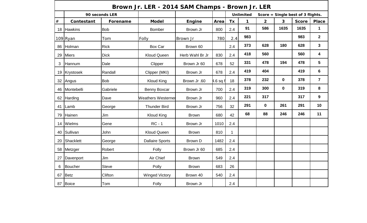|      |                 |                | Brown Jr. LER - 2014 SAM Champs - Brown Jr. LER |                 |                   |             |                  |                                          |              |                                   |                |
|------|-----------------|----------------|-------------------------------------------------|-----------------|-------------------|-------------|------------------|------------------------------------------|--------------|-----------------------------------|----------------|
|      |                 | 90 seconds LER |                                                 |                 |                   |             | <b>Unlimited</b> |                                          |              | Score = Single best of 3 flights. |                |
| $\#$ | Contestant      | Forename       | <b>Model</b>                                    | <b>Engine</b>   | Area              | Tx          | $\mathbf{1}$     | $\overline{2}$                           | $\mathbf{3}$ | <b>Score</b>                      | <b>Place</b>   |
| 18   | <b>Hawkins</b>  | <b>Bob</b>     | <b>Bomber</b>                                   | Brown Jr        | 800               | 2.4         | 91               | 586                                      | 1635         | 1635                              | $\mathbf 1$    |
|      | 109 Ryan        | Tom            | Folly                                           | Brown Jr        | 780               | 2.4         | 983              |                                          |              | 983                               | $\mathbf{2}$   |
| 86   | Holman          | <b>Rick</b>    | Box Car                                         | Brown 60        |                   | 2.4         | 373              | 628                                      | 180          | 628                               | $\mathbf{3}$   |
| 29   | <b>Miers</b>    | <b>Dick</b>    | <b>Kloud Queen</b>                              | Herb Wahl Br Jr | 830               | 2.4         | 418              | 560                                      |              | 560                               | 4              |
| 3    | Hannum          | Dale           | Clipper                                         | Brown Jr 60     | 678               | 52          | 331              | 478                                      | 194          | 478                               | 5              |
| 19   | Krystosek       | Randall        | Clipper (MKI)                                   | Brown Jr        | 678               | 2.4         | 419              | 404                                      |              | 419                               | 6              |
|      | 32 Angus        | <b>Bob</b>     | <b>Kloud King</b>                               | Brown Jr .60    | $4.6$ sq f        | 18          | 378              | 232<br>$\mathbf 0$<br>300<br>$\mathbf 0$ |              | 378                               | $\overline{7}$ |
|      | 46   Montebelli | Gabriele       | Benny Boxcar                                    | Brown Jr        | 700               | 2.4         | 319              |                                          |              | 319                               | 8              |
|      | 62 Harding      | Dave           | <b>Weathers Westerner</b>                       | Brown Jr        | 221<br>2.4<br>960 |             |                  | 317                                      |              | 317                               | 9              |
| 41   | Lamb            | George         | <b>Thunder Bird</b>                             | Brown Jr        | 756               | 32          | 291              | $\mathbf{0}$                             | 261          | 291                               | 10             |
| 79   | Hainen          | Jim            | <b>Kloud King</b>                               | <b>Brown</b>    | 680               | 42          | 68               | 88                                       | 246          | 246                               | 11             |
| 14   | Wielms          | Gene           | $RC - 1$                                        | Brown Jr        | 1010              | 2.4         |                  |                                          |              |                                   |                |
| 40   | Sullivan        | John           | <b>Kloud Queen</b>                              | <b>Brown</b>    | 810               | $\mathbf 1$ |                  |                                          |              |                                   |                |
| 20   | Shacklett       | George         | <b>Dallaire Sports</b>                          | Brown D         | 1482              | 2.4         |                  |                                          |              |                                   |                |
| 58   | Metzger         | Robert         | Folly                                           | Brown Jr 60     | 685               | 2.4         |                  |                                          |              |                                   |                |
| 27   | Davenport       | Jim            | Air Chief                                       | <b>Brown</b>    | 549               | 2.4         |                  |                                          |              |                                   |                |
| 6    | Boucher         | <b>Steve</b>   | Polly                                           | <b>Brown</b>    | 683               | 26          |                  |                                          |              |                                   |                |
| 67   | Betz            | <b>Clifton</b> | <b>Winged Victory</b>                           | Brown 40        | 540<br>2.4        |             |                  |                                          |              |                                   |                |
|      | 87 Boice        | Tom            | Folly                                           | Brown Jr        |                   | 2.4         |                  |                                          |              |                                   |                |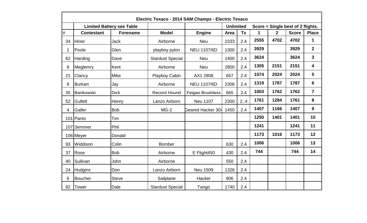|      |                   |                                  | Electric Texaco - 2014 SAM Champs - Electric Texaco |                          |                  |           |             |                |                                   |                |
|------|-------------------|----------------------------------|-----------------------------------------------------|--------------------------|------------------|-----------|-------------|----------------|-----------------------------------|----------------|
|      |                   | <b>Limited Battery see Table</b> |                                                     |                          | <b>Unlimited</b> |           |             |                | Score = Single best of 2 flights. |                |
| $\#$ | <b>Contestant</b> | <b>Forename</b>                  | <b>Model</b>                                        | <b>Engine</b>            | <b>Area</b>      | <b>Tx</b> | $\mathbf 1$ | $\overline{2}$ | <b>Score</b>                      | <b>Place</b>   |
| 34   | <b>Hiner</b>      | Jack                             | Airborne                                            | <b>Neu</b>               | 2333             | 2.4       | 2555        | 4702           | 4702                              | 1              |
|      | Poole             | Glen                             | playboy pylon                                       | <b>NEU 1107/6D</b>       | 1300             | 2.4       | 3929        |                | 3929                              | $\overline{2}$ |
| 62   | Harding           | Dave                             | <b>Stardust Special</b>                             | <b>Neu</b>               | 1400             | 2.4       | 3624        |                | 3624                              | $\mathbf{3}$   |
| 8    | Meglemry          | Kent                             | Airborne                                            | <b>Neu</b>               | 2800             | 2.4       | 1305        | 2151           | 2151                              | 4              |
| 21   | Clancy            | Mike                             | Playboy Cabin                                       | AX1 2808                 | 657              | 2.4       | 1574        | 2024           | 2024                              | 5              |
| 9    | <b>Burkart</b>    | Jay                              | Airborne                                            | <b>NEU 1107/6D</b>       | 2306             | 2.4       | 1319        | 1787           | 1787                              | 6              |
| 35   | Bartkowski        | <b>Dick</b>                      | <b>Record Hound</b>                                 | Feigao Brushless         | 665              | 2.4       | 1003        | 1762           | 1762                              | $\overline{7}$ |
| 52   | <b>Gullett</b>    | Henry                            | Lanzo Airborn                                       | <b>Neu 1107</b>          | 2300             | 2.4       | 1761        | 1284           | 1761                              | 8              |
| 4    | Galler            | <b>Bob</b>                       | $MG-2$                                              | <b>Geared Hacker 30x</b> | 1450             | 2.4       | 1407        | 1166           | 1407                              | 9              |
|      | 101 Panto         | Tim                              |                                                     |                          |                  |           | 1250        | 1401           | 1401                              | 10             |
|      | 107 Semmer        | Phil                             |                                                     |                          |                  |           | 1241        |                | 1241                              | 11             |
|      | 106 Meyer         | Donald                           |                                                     |                          |                  |           | 1173        | 1016           | 1173                              | 12             |
| 93   | Widdison          | Colin                            | <b>Bomber</b>                                       |                          | 630              | 2.4       | 1006        |                | 1006                              | 13             |
| 37   | Rose              | <b>Bob</b>                       | Airborne                                            | E Flight450              | 430              | 2.4       | 744         |                | 744                               | 14             |
| 40   | Sullivan          | John                             | Airborne                                            |                          | 550              | 2.4       |             |                |                                   |                |
| 24   | <b>Hudgins</b>    | Don                              | Lanzo Airborn                                       | <b>Neu 1509</b>          | 1326             | 2.4       |             |                |                                   |                |
| 6    | <b>Boucher</b>    | <b>Steve</b>                     | Sailplane                                           | Hacker                   | 906              | 2.4       |             |                |                                   |                |
| 82   | Tower             | Dale                             | <b>Stardust Special</b>                             | Tango                    | 1740             | 2.4       |             |                |                                   |                |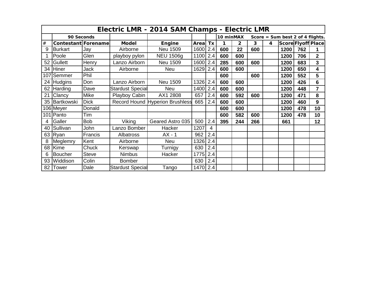|      |                     |              |                         | Electric LMR - 2014 SAM Champs - Electric LMR |             |     |           |     |     |   |                                  |     |                  |
|------|---------------------|--------------|-------------------------|-----------------------------------------------|-------------|-----|-----------|-----|-----|---|----------------------------------|-----|------------------|
|      | 90 Seconds          |              |                         |                                               |             |     | 10 minMAX |     |     |   | Score = Sum best 2 of 4 flights. |     |                  |
| $\#$ | Contestant Forename |              | <b>Model</b>            | Engine                                        | <b>Area</b> | Tx  | 1         | 2   | 3   | 4 |                                  |     | ScoreFlyoffPlace |
| 9    | <b>Burkart</b>      | Jay          | Airborne                | <b>Neu 1509</b>                               | 1600        | 2.4 | 600       | 22  | 600 |   | 1200                             | 762 | 1                |
|      | Poole               | Glen         | playboy pylon           | <b>NEU 1506g</b>                              | 1100        | 2.4 | 600       | 600 |     |   | 1200                             | 706 | $\overline{2}$   |
| 52   | <b>Gullett</b>      | Henry        | Lanzo Airborn           | <b>Neu 1509</b>                               | 1600        | 2.4 | 285       | 600 | 600 |   | 1200                             | 683 | 3                |
| 34   | Hiner               | Jack         | Airborne                | <b>Neu</b>                                    | 1629        | 2.4 | 600       | 600 |     |   | 1200                             | 650 | 4                |
| 107  | Semmer              | Phil         |                         |                                               |             |     | 600       |     | 600 |   | 1200                             | 552 | $5\phantom{1}$   |
| 24   | <b>Hudgins</b>      | Don          | Lanzo Airborn           | <b>Neu 1509</b>                               | 1326        | 2.4 | 600       | 600 |     |   | 1200                             | 426 | 6                |
| 62   | Harding             | Dave         | <b>Stardust Special</b> | <b>Neu</b>                                    | 1400        | 2.4 | 600       | 600 |     |   | 1200                             | 448 | $\overline{7}$   |
| 21   | Clancy              | Mike         | Playboy Cabin           | AX1 2808                                      | 657         | 2.4 | 600       | 592 | 600 |   | 1200                             | 471 | 8                |
| 35   | Bartkowski          | <b>Dick</b>  |                         | Record Hound Hyperion Brushless               | 665         | 2.4 | 600       | 600 |     |   | 1200                             | 460 | 9                |
|      | 106 Meyer           | Donald       |                         |                                               |             |     | 600       | 600 |     |   | 1200                             | 478 | 10               |
|      | 101 Panto           | Tim          |                         |                                               |             |     | 600       | 582 | 600 |   | 1200                             | 478 | 10               |
| 4    | Galler              | <b>Bob</b>   | Viking                  | Geared Astro 035                              | 500         | 2.4 | 395       | 244 | 266 |   | 661                              |     | 12               |
| 40   | Sullivan            | John         | Lanzo Bomber            | Hacker                                        | 1207        | 4   |           |     |     |   |                                  |     |                  |
| 63   | Ryan                | Francis      | <b>Albatross</b>        | $AX - 1$                                      | 962         | 2.4 |           |     |     |   |                                  |     |                  |
| 8    | Meglemry            | Kent         | Airborne                | <b>Neu</b>                                    | 1326        | 2.4 |           |     |     |   |                                  |     |                  |
| 68   | Kime                | Chuck        | Kerswap                 | Turnigy                                       | 630         | 2.4 |           |     |     |   |                                  |     |                  |
| 6    | <b>Boucher</b>      | <b>Steve</b> | <b>Nimbus</b>           | Hacker                                        | 1775        | 2.4 |           |     |     |   |                                  |     |                  |
| 93   | Widdison            | Colin        | <b>Bomber</b>           |                                               | 630         | 2.4 |           |     |     |   |                                  |     |                  |
| 82   | Tower               | Dale         | <b>Stardust Special</b> | Tango                                         | 1470        | 2.4 |           |     |     |   |                                  |     |                  |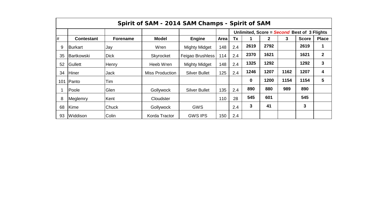|     | Spirit of SAM - 2014 SAM Champs - Spirit of SAM |                 |                        |                      |        |           |             |              |      |                                             |              |  |  |  |  |
|-----|-------------------------------------------------|-----------------|------------------------|----------------------|--------|-----------|-------------|--------------|------|---------------------------------------------|--------------|--|--|--|--|
|     |                                                 |                 |                        |                      |        |           |             |              |      | Unlimited, Score = Second Best of 3 Flights |              |  |  |  |  |
| #   | <b>Contestant</b>                               | <b>Forename</b> | <b>Model</b>           | <b>Engine</b>        | Area l | <b>Tx</b> |             | $\mathbf{2}$ | 3    | <b>Score</b>                                | <b>Place</b> |  |  |  |  |
| 9   | Burkart                                         | Jay             | Wren                   | <b>Mighty Midget</b> | 148    | 2.4       | 2619        | 2792         |      | 2619                                        |              |  |  |  |  |
| 35  | Bartkowski                                      | <b>Dick</b>     | Skyrocket              | Feigao Brushless     | 114    | 2.4       | 2370        | 1621         |      | 1621                                        | $\mathbf 2$  |  |  |  |  |
| 52  | <b>Gullett</b>                                  | Henry           | Heeb Wren              | <b>Mighty Midget</b> | 148    | 2.4       | 1325        | 1292         |      | 1292                                        | 3            |  |  |  |  |
| 34  | <b>Hiner</b>                                    | Jack            | <b>Miss Production</b> | <b>Silver Bullet</b> | 125    | 2.4       | 1246        | 1207         | 1162 | 1207                                        | 4            |  |  |  |  |
| 101 | <b>Panto</b>                                    | Tim             |                        |                      |        |           | $\mathbf 0$ | 1200         | 1154 | 1154                                        | 5            |  |  |  |  |
|     | Poole                                           | Glen            | Gollywock              | <b>Silver Bullet</b> | 135    | 2.4       | 890         | 880          | 989  | 890                                         |              |  |  |  |  |
| 8   | Meglemry                                        | Kent            | Cloudster              |                      | 110    | 28        | 545         | 601          |      | 545                                         |              |  |  |  |  |
| 68  | Kime                                            | Chuck           | Gollywock              | <b>GWS</b>           |        | 2.4       | 3           | 41           |      | 3                                           |              |  |  |  |  |
| 93  | Widdison                                        | Colin           | Korda Tractor          | <b>GWS IPS</b>       | 150    | 2.4       |             |              |      |                                             |              |  |  |  |  |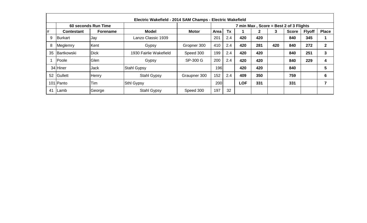|    |                   |                     | Electric Wakefield - 2014 SAM Champs - Electric Wakefield |              |            |           |            |              |     |                                        |               |              |
|----|-------------------|---------------------|-----------------------------------------------------------|--------------|------------|-----------|------------|--------------|-----|----------------------------------------|---------------|--------------|
|    |                   | 60 seconds Run Time |                                                           |              |            |           |            |              |     | 7 min Max, Score = Best 2 of 3 Flights |               |              |
| #  | <b>Contestant</b> | <b>Forename</b>     | <b>Model</b>                                              | <b>Motor</b> | Area       | <b>Tx</b> |            | $\mathbf{2}$ | 3   | <b>Score</b>                           | <b>Flyoff</b> | <b>Place</b> |
| 9  | Burkart           | <b>Jay</b>          | Lanzo Classic 1939                                        |              | 201        | 2.4       | 420        | 420          |     | 840                                    | 345           |              |
| 8  | Meglemry          | Kent                | Gypsy                                                     | Gropner 300  | 410        | 2.4       | 420        | 281          | 420 | 840                                    | 272           | $\mathbf{2}$ |
| 35 | IBartkowski       | <b>Dick</b>         | 1930 Fairlie Wakefield                                    | Speed 300    | 199        | 2.4       | 420        | 420          |     | 840                                    | 251           | 3            |
|    | Poole             | Glen                | Gypsy                                                     | SP-300 G     | 200        | 2.4       | 420        | 420          |     | 840                                    | 229           | 4            |
|    | 34 Hiner          | <b>Jack</b>         | <b>Stahl Gypsy</b>                                        |              | 196        |           | 420        | 420          |     | 840                                    |               | 5            |
| 52 | Gullett           | Henry               | <b>Stahl Gypsy</b>                                        | Graupner 300 | 152        | 2.4       | 409        | 350          |     | 759                                    |               | 6            |
|    | 101 Panto         | Tim                 | <b>Sthl Gypsy</b>                                         |              | <b>200</b> |           | <b>LOF</b> | 331          |     | 331                                    |               |              |
| 41 | Lamb              | George              | <b>Stahl Gypsy</b>                                        | Speed 300    | 197        | 32        |            |              |     |                                        |               |              |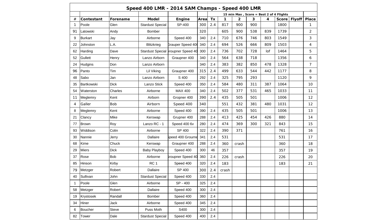|    |                |              |                         | Speed 400 LMR - 2014 SAM Champs - Speed 400 LMR |      |     |       |                |     |     |                                         |               |                |
|----|----------------|--------------|-------------------------|-------------------------------------------------|------|-----|-------|----------------|-----|-----|-----------------------------------------|---------------|----------------|
|    |                |              |                         |                                                 |      |     |       |                |     |     | 15 min Max, Score = Best 2 of 4 Flights |               |                |
| #  | Contestant     | Forename     | <b>Model</b>            | <b>Engine</b>                                   | Area | Tx  | 1     | $\overline{2}$ | 3   | 4   | <b>Score</b>                            | <b>Flyoff</b> | <b>Place</b>   |
| 1  | Poole          | Glen         | <b>Stardust Special</b> | SP-400                                          | 300  | 2.4 | 817   | 900            | 900 |     | 1800                                    |               | 1              |
| 91 | Latowski       | Andy         | <b>Bomber</b>           |                                                 | 320  |     | 605   | 900            | 538 | 839 | 1739                                    |               | $\overline{2}$ |
| 9  | <b>Burkart</b> | Jay          | Airborne                | Speed 400                                       | 340  | 2.4 | 710   | 676            | 746 | 803 | 1549                                    |               | 3              |
| 22 | Johnston       | L.A.         | <b>Blitzkrieg</b>       | <b>Grauper Speed 400</b>                        | 340  | 2.4 | 694   | 526            | 666 | 809 | 1503                                    |               | 4              |
| 62 | Harding        | Dave         |                         | Stardust Special Sroupner Speed 40              | 300  | 2.4 | 736   | 702            | 728 | lof | 1464                                    |               | 5              |
| 52 | Gullett        | Henry        | Lanzo Airborn           | Graupner 400                                    | 340  | 2.4 | 564   | 638            | 718 |     | 1356                                    |               | 6              |
| 24 | Hudgins        | Don          | Lanzo Airborn           |                                                 | 340  | 2.4 | 383   | 382            | 850 | 478 | 1328                                    |               | $\overline{7}$ |
| 96 | Panto          | Tim          | Lil Viking              | Graupner 400                                    | 315  | 2.4 | 499   | 633            | 544 | 442 | 1177                                    |               | 8              |
| 48 | Sabo           | Jan          | Lanzo Airborn           | S 400                                           | 292  | 2.4 | 325   | 795            | 293 |     | 1120                                    |               | 9              |
| 35 | Bartkowski     | <b>Dick</b>  | Lanzo Stick             | Speed 400                                       | 350  | 2.4 | 584   | 480            | 311 | 387 | 1064                                    |               | 10             |
| 54 | Waterston      | Charles      | Airborne                | <b>MAX 400</b>                                  | 340  | 2.4 | 502   | 377            | 531 | 465 | 1033                                    |               | 11             |
| 11 | Meglemry       | Kent         | Airborn                 | Gropner 400                                     | 390  | 2.4 | 435   | 505            | 501 |     | 1006                                    |               | 12             |
| 4  | Galler         | <b>Bob</b>   | Airborn                 | Speed 400                                       | 340  |     | 551   | 432            | 381 | 480 | 1031                                    |               | 12             |
| 8  | Meglemry       | Kent         | Airborne                | Speed 400                                       | 390  | 2.4 | 435   | 505            | 501 |     | 1006                                    |               | 13             |
| 21 | Clancy         | Mike         | Kerswap                 | Grupner 400                                     | 288  | 2.4 | 413   | 425            | 454 | 426 | 880                                     |               | 14             |
| 77 | <b>Brown</b>   | Roy          | Lanzo RC - 1            | Speed 400 6v                                    | 280  | 2.4 | 474   | 369            | 300 | 321 | 843                                     |               | 15             |
| 93 | Widdison       | Colin        | Airborne                | SP 400                                          | 322  | 2.4 | 390   | 371            |     |     | 761                                     |               | 16             |
| 30 | Nannie         | Jerry        | Dallaire                | Speed 400 Grourne                               | 341  | 2.4 | 531   |                |     |     | 531                                     |               | 17             |
| 68 | Kime           | Chuck        | Kerswap                 | Graupner 400                                    | 288  | 2.4 | 360   | crash          |     |     | 360                                     |               | 18             |
| 29 | <b>Miers</b>   | <b>Dick</b>  | <b>Baby Playboy</b>     | Speed 400                                       | 300  | 46  | 357   |                |     |     | 357                                     |               | 19             |
| 37 | Rose           | <b>Bob</b>   | Airborne                | <b>Sroupner Speed 40</b>                        | 360  | 2.4 | 226   | crash          |     |     | 226                                     |               | 20             |
| 85 | Hinson         | Kirby        | RC <sub>1</sub>         | Speed 400                                       | 320  | 2.4 | 183   |                |     |     | 183                                     |               | 21             |
| 79 | Metzger        | Robert       | Dallaire                | SP 400                                          | 300  | 2.4 | crash |                |     |     |                                         |               |                |
| 40 | Sullivan       | John         | <b>Stardust Special</b> | Speed 400                                       | 330  | 2.4 |       |                |     |     |                                         |               |                |
| -1 | Poole          | Glen         | Airborne                | SP - 400                                        | 325  | 2.4 |       |                |     |     |                                         |               |                |
| 58 | Metzger        | Robert       | Dallaire                | Speed 400                                       | 300  | 2.4 |       |                |     |     |                                         |               |                |
| 19 | Krystosek      | Randall      | Bomber                  | Speed 400                                       | 360  | 2.4 |       |                |     |     |                                         |               |                |
| 34 | Hiner          | Jack         | Airborne                | Speed 400                                       | 345  | 2.4 |       |                |     |     |                                         |               |                |
| 6  | <b>Boucher</b> | <b>Steve</b> | Puss Moth               | S400                                            | 300  | 2.4 |       |                |     |     |                                         |               |                |
| 82 | Tower          | Dale         | <b>Stardust Special</b> | Speed 400                                       | 400  | 2.4 |       |                |     |     |                                         |               |                |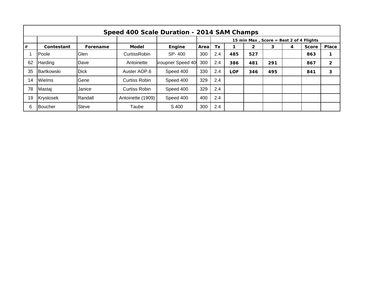|    | Speed 400 Scale Duration - 2014 SAM Champs |              |                      |                          |      |     |     |                                         |     |   |              |                |  |  |  |
|----|--------------------------------------------|--------------|----------------------|--------------------------|------|-----|-----|-----------------------------------------|-----|---|--------------|----------------|--|--|--|
|    |                                            |              |                      |                          |      |     |     | 15 min Max, Score = Best 2 of 4 Flights |     |   |              |                |  |  |  |
| #  | Contestant                                 | Forename     | <b>Model</b>         | Engine                   | Area | Tx  |     | $\mathbf{2}$                            | 3   | 4 | <b>Score</b> | <b>Place</b>   |  |  |  |
|    | Poole                                      | Glen         | <b>CurtissRobin</b>  | SP-400                   | 300  | 2.4 | 485 | 527                                     |     |   | 863          |                |  |  |  |
| 62 | Harding                                    | Dave         | Antoinette           | <b>Sroupner Speed 40</b> | 300  | 2.4 | 386 | 481                                     | 291 |   | 867          | $\overline{2}$ |  |  |  |
| 35 | <b>IBartkowski</b>                         | <b>Dick</b>  | Auster AOP.6         | Speed 400                | 330  | 2.4 | LOF | 346                                     | 495 |   | 841          | 3              |  |  |  |
| 14 | Wielms                                     | Gene         | Curtiss Robin        | Speed 400                | 329  | 2.4 |     |                                         |     |   |              |                |  |  |  |
| 78 | Mastaj                                     | Janice       | <b>Curtiss Robin</b> | Speed 400                | 329  | 2.4 |     |                                         |     |   |              |                |  |  |  |
| 19 | Krystosek                                  | Randall      | Antoinette (1909)    | Speed 400                | 400  | 2.4 |     |                                         |     |   |              |                |  |  |  |
| 6  | <b>Boucher</b>                             | <b>Steve</b> | Taube                | S 400                    | 300  | 2.4 |     |                                         |     |   |              |                |  |  |  |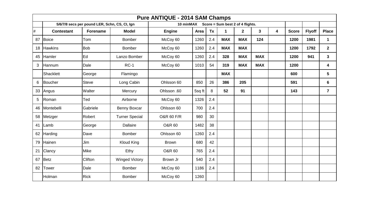|      | <b>Pure ANTIQUE - 2014 SAM Champs</b> |                                               |                       |                   |        |     |                                  |             |              |                         |              |               |                |  |
|------|---------------------------------------|-----------------------------------------------|-----------------------|-------------------|--------|-----|----------------------------------|-------------|--------------|-------------------------|--------------|---------------|----------------|--|
|      |                                       | 5/6/7/8 secs per pound LER, Schn, CS, CI, Ign |                       | 10 minMAX         |        |     | Score = Sum best 2 of 4 flights. |             |              |                         |              |               |                |  |
| $\#$ | <b>Contestant</b>                     | <b>Forename</b>                               | <b>Model</b>          | <b>Engine</b>     | Area   | Tx  | $\mathbf{1}$                     | $2^{\circ}$ | $\mathbf{3}$ | $\overline{\mathbf{4}}$ | <b>Score</b> | <b>Flyoff</b> | <b>Place</b>   |  |
| 87   | Boice                                 | Tom                                           | <b>Bomber</b>         | McCoy 60          | 1260   | 2.4 | <b>MAX</b>                       | <b>MAX</b>  | 124          |                         | 1200         | 1981          | $\mathbf{1}$   |  |
| 18   | <b>Hawkins</b>                        | <b>Bob</b>                                    | <b>Bomber</b>         | McCoy 60          | 1260   | 2.4 | <b>MAX</b>                       | <b>MAX</b>  |              |                         | 1200         | 1792          | $\mathbf{2}$   |  |
| 45   | Hamler                                | Ed                                            | Lanzo Bomber          | McCoy 60          | 1260   | 2.4 | 328                              | <b>MAX</b>  | <b>MAX</b>   |                         | 1200         | 941           | $\mathbf{3}$   |  |
| 3    | Hannum                                | Dale                                          | $RC-1$                | McCoy 60          | 1010   | 54  | 319                              | <b>MAX</b>  | <b>MAX</b>   |                         | 1200         |               | 4              |  |
|      | Shacklett                             | George                                        | Flamingo              |                   |        |     | <b>MAX</b>                       |             |              |                         | 600          |               | $5\phantom{1}$ |  |
| 6    | Boucher                               | <b>Steve</b>                                  | Long Cabin            | Ohlsson 60        | 850    | 26  | 386                              | 205         |              |                         | 591          |               | $6\phantom{1}$ |  |
| 33   | Angus                                 | Walter                                        | Mercury               | Ohlsson .60       | 5sq ft | 8   | 52                               | 91          |              |                         | 143          |               | $\overline{7}$ |  |
| 5    | Roman                                 | Ted                                           | Airborne              | McCoy 60          | 1326   | 2.4 |                                  |             |              |                         |              |               |                |  |
| 46   | Montebelli                            | Gabriele                                      | Benny Boxcar          | Ohlsson 60        | 700    | 2.4 |                                  |             |              |                         |              |               |                |  |
| 58   | Metzger                               | Robert                                        | <b>Turner Special</b> | O&R 60 F/R        | 980    | 30  |                                  |             |              |                         |              |               |                |  |
|      | 41 Lamb                               | George                                        | <b>Dallaire</b>       | <b>O&amp;R 60</b> | 1482   | 38  |                                  |             |              |                         |              |               |                |  |
|      | 62 Harding                            | Dave                                          | <b>Bomber</b>         | Ohlsson 60        | 1260   | 2.4 |                                  |             |              |                         |              |               |                |  |
| 79   | Hainen                                | Jim                                           | <b>Kloud King</b>     | <b>Brown</b>      | 680    | 42  |                                  |             |              |                         |              |               |                |  |
| 21   | Clancy                                | <b>Mike</b>                                   | Ethy                  | <b>O&amp;R 60</b> | 765    | 2.4 |                                  |             |              |                         |              |               |                |  |
| 67   | Betz                                  | Clifton                                       | <b>Winged Victory</b> | Brown Jr          | 540    | 2.4 |                                  |             |              |                         |              |               |                |  |
| 82   | <b>Tower</b>                          | Dale                                          | <b>Bomber</b>         | McCoy 60          | 1186   | 2.4 |                                  |             |              |                         |              |               |                |  |
|      | Holman                                | <b>Rick</b>                                   | Bomber                | McCoy 60          | 1260   |     |                                  |             |              |                         |              |               |                |  |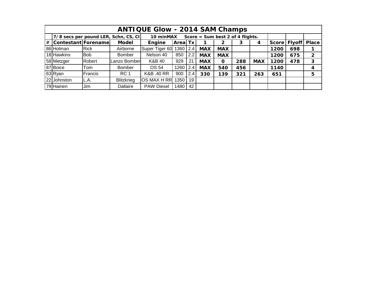|                                                                       |                       |                                                                                        |                                      | <b>ANTIQUE Glow - 2014 SAM Champs</b> |                                                                                      |     |            |                                    |      |     |      |                |              |
|-----------------------------------------------------------------------|-----------------------|----------------------------------------------------------------------------------------|--------------------------------------|---------------------------------------|--------------------------------------------------------------------------------------|-----|------------|------------------------------------|------|-----|------|----------------|--------------|
|                                                                       |                       |                                                                                        | 7/8 secs per pound LER, Schn, CS, CI | 10 minMAX                             |                                                                                      |     |            | Score = $Sum best 2 of 4 flights.$ |      |     |      |                |              |
|                                                                       | # Contestant Forename |                                                                                        | <b>Model</b>                         | Engine                                | <b>Areal Tx</b>                                                                      |     |            | 2                                  | 3    | 4   |      | Score   Flyoff | <b>Place</b> |
|                                                                       | 86 Holman             | Super Tiger 60<br><b>Rick</b><br>Airborne<br>1360<br> 2.4 <br><b>MAX</b><br><b>MAX</b> |                                      |                                       |                                                                                      |     |            |                                    | 1200 | 698 |      |                |              |
|                                                                       | 18 Hawkins            | <b>Bob</b>                                                                             | <b>Bomber</b>                        | Nelson 40                             | 850                                                                                  |     | 1200       | 675                                | 2    |     |      |                |              |
|                                                                       | 58 Metzger            | Robert                                                                                 | Lanzo Bomber                         | K&B 40                                | 2.2<br><b>MAX</b><br><b>MAX</b><br>929<br>21<br><b>MAX</b><br>288<br><b>MAX</b><br>O |     |            |                                    |      |     |      | 478            | $\mathbf{3}$ |
|                                                                       | 87 Boice              | Tom                                                                                    | <b>Bomber</b>                        | OS 54                                 | 1260                                                                                 | 2.4 | <b>MAX</b> | 540                                | 456  |     | 1140 |                |              |
|                                                                       | 63Ryan                | Francis                                                                                | RC <sub>1</sub>                      | K&B .40 RR                            | 900                                                                                  | 2.4 | 330        | 139                                | 321  | 263 | 651  |                | 5            |
| 22 Johnston<br>OS MAX H RR<br><b>Blitzkrieg</b><br>1350<br>19<br>L.A. |                       |                                                                                        |                                      |                                       |                                                                                      |     |            |                                    |      |     |      |                |              |
|                                                                       | 79 Hainen             | Jim                                                                                    | Dallaire                             | <b>PAW Diesel</b>                     | 1480                                                                                 | 42  |            |                                    |      |     |      |                |              |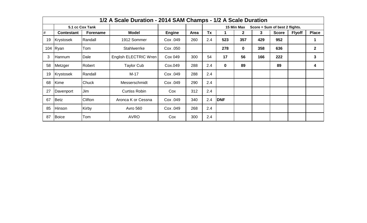|    |                   |                 | 1/2 A Scale Duration - 2014 SAM Champs - 1/2 A Scale Duration |               |      |     |            |              |     |                                |               |              |
|----|-------------------|-----------------|---------------------------------------------------------------|---------------|------|-----|------------|--------------|-----|--------------------------------|---------------|--------------|
|    |                   | 5.1 cc Cox Tank |                                                               |               |      |     |            | 15 Min Max   |     | Score = Sum of best 2 flights. |               |              |
| #  | <b>Contestant</b> | <b>Forename</b> | <b>Model</b>                                                  | <b>Engine</b> | Area | Tx  | 1          | $\mathbf{2}$ | 3   | <b>Score</b>                   | <b>Flyoff</b> | <b>Place</b> |
| 19 | Krystosek         | Randall         | 1912 Sommer                                                   | Cox .049      | 260  | 2.4 | 523        | 357          | 429 | 952                            |               |              |
|    | 104 $Ryan$        | Tom             | <b>Stahlwerrke</b>                                            | Cox .050      |      |     | 278        | 0            | 358 | 636                            |               | $\mathbf{2}$ |
| 3  | Hannum            | Dale            | English ELECTRIC Wren                                         | Cox 049       | 300  | 54  | 17         | 56           | 166 | 222                            |               | 3            |
| 58 | Metzger           | Robert          | <b>Taylor Cub</b>                                             | Cox.049       | 288  | 2.4 | $\bf{0}$   | 89           |     | 89                             |               | 4            |
| 19 | Krystosek         | Randall         | $M-17$                                                        | Cox .049      | 288  | 2.4 |            |              |     |                                |               |              |
| 68 | Kime              | Chuck           | Messerschmidt                                                 | Cox .049      | 290  | 2.4 |            |              |     |                                |               |              |
| 27 | Davenport         | Jim             | <b>Curtiss Robin</b>                                          | Cox           | 312  | 2.4 |            |              |     |                                |               |              |
| 67 | Betz              | Clifton         | Aronca K or Cessna                                            | Cox .049      | 340  | 2.4 | <b>DNF</b> |              |     |                                |               |              |
| 85 | Hinson            | Kirby           | <b>Avro 560</b>                                               | Cox .049      | 268  | 2.4 |            |              |     |                                |               |              |
| 87 | Boice             | Tom             | <b>AVRO</b>                                                   | Cox           | 300  | 2.4 |            |              |     |                                |               |              |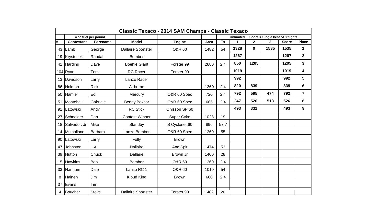|      |                   |                     |                           | Classic Texaco - 2014 SAM Champs - Classic Texaco |      |           |                  |              |      |                                   |                         |
|------|-------------------|---------------------|---------------------------|---------------------------------------------------|------|-----------|------------------|--------------|------|-----------------------------------|-------------------------|
|      |                   | 4 cc fuel per pound |                           |                                                   |      |           | <b>Unlimited</b> |              |      | Score = Single best of 3 flights. |                         |
| $\#$ | <b>Contestant</b> | Forename            | <b>Model</b>              | Engine                                            | Area | <b>Tx</b> | 1                | $\mathbf{2}$ | 3    | <b>Score</b>                      | <b>Place</b>            |
| 43   | Lamb              | George              | <b>Dallaire Sportster</b> | <b>O&amp;R 60</b>                                 | 1482 | 54        | 1328             | $\mathbf 0$  | 1535 | 1535                              | 1                       |
| 19   | Krystosek         | Randal              | <b>Bomber</b>             |                                                   |      |           | 1267             |              |      | 1267                              | $\overline{\mathbf{2}}$ |
| 42   | Harding           | Dave                | <b>Boehle Giant</b>       | Forster 99                                        | 2880 | 2.4       | 850              | 1205         |      | 1205                              | 3                       |
|      | $104$ Ryan        | Tom                 | <b>RC</b> Racer           | Forster 99                                        |      |           | 1019             |              |      | 1019                              | 4                       |
| 13   | Davidson          | Larry               | Lanzo Racer               |                                                   |      |           | 992              |              |      | 992                               | 5                       |
| 86   | Holman            | <b>Rick</b>         | Airborne                  |                                                   | 1360 | 2.4       | 820              | 839          |      | 839                               | 6                       |
| 50   | <b>Hamler</b>     | Ed                  | Mercury                   | O&R 60 Spec                                       | 720  | 2.4       | 792              | 595          | 474  | 792                               | $\overline{7}$          |
| 51   | Montebelli        | Gabriele            | Benny Boxcar              | O&R 60 Spec                                       | 685  | 2.4       | 247              | 526          | 513  | 526                               | 8                       |
| 91   | Latowski          | Andy                | <b>RC Stick</b>           | Ohlsson SP 60                                     |      |           | 493              | 331          |      | 493                               | $\boldsymbol{9}$        |
| 27   | Schneider         | Dan                 | <b>Contest Winner</b>     | Super Cyke                                        | 1028 | 19        |                  |              |      |                                   |                         |
| 18   | Salvador, Jr      | Mike                | Standby                   | S Cyclone .60                                     | 896  | 53.7      |                  |              |      |                                   |                         |
| 14   | Mulholland        | Barbara             | Lanzo Bomber              | O&R 60 Spec                                       | 1260 | 55        |                  |              |      |                                   |                         |
| 90   | Latowski          | Larry               | Folly                     | <b>Brown</b>                                      |      |           |                  |              |      |                                   |                         |
| 47   | Johnston          | L.A.                | <b>Dallaire</b>           | And Spit                                          | 1474 | 53        |                  |              |      |                                   |                         |
| 39   | <b>Hutton</b>     | Chuck               | <b>Dallaire</b>           | Brown Jr                                          | 1400 | 28        |                  |              |      |                                   |                         |
| 15   | <b>Hawkins</b>    | <b>Bob</b>          | <b>Bomber</b>             | <b>O&amp;R 60</b>                                 | 1260 | 2.4       |                  |              |      |                                   |                         |
| 33   | Hannum            | Dale                | Lanzo RC 1                | <b>O&amp;R 60</b>                                 | 1010 | 54        |                  |              |      |                                   |                         |
| 8    | Hainen            | Jim                 | <b>Kloud King</b>         | <b>Brown</b>                                      | 660  | 2.4       |                  |              |      |                                   |                         |
| 37   | Evans             | Tim                 |                           |                                                   |      |           |                  |              |      |                                   |                         |
| 4    | <b>Boucher</b>    | <b>Steve</b>        | <b>Dallaire Sportster</b> | Forster 99                                        | 1482 | 26        |                  |              |      |                                   |                         |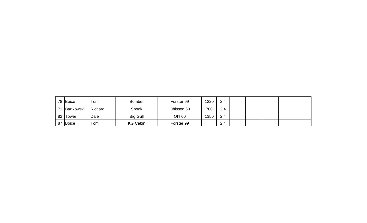|    | 78 Boice   | Tom     | <b>Bomber</b>   | Forster 99 | 220 | 2.4 |  |  |  |
|----|------------|---------|-----------------|------------|-----|-----|--|--|--|
| 74 | Bartkowski | Richard | Spook           | Ohlsson 60 | 780 | 2.4 |  |  |  |
|    | 82 Tower   | Dale    | <b>Big Gull</b> | Ohl 60     | 350 | 2.4 |  |  |  |
| 87 | Boice      | Tom     | <b>KG Cabin</b> | Forster 99 |     | 2.4 |  |  |  |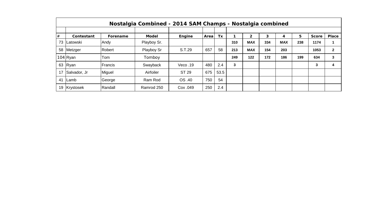|    | Nostalgia Combined - 2014 SAM Champs - Nostalgia combined |          |              |          |      |      |     |            |     |            |     |              |              |
|----|-----------------------------------------------------------|----------|--------------|----------|------|------|-----|------------|-----|------------|-----|--------------|--------------|
|    |                                                           |          |              |          |      |      |     |            |     |            |     |              |              |
| #  | Contestant                                                | Forename | <b>Model</b> | Engine   | Area | Tx   |     | 2          | 3   | 4          | 5.  | <b>Score</b> | Place        |
| 73 | Latowski                                                  | Andy     | Playboy Sr.  |          |      |      | 310 | <b>MAX</b> | 334 | <b>MAX</b> | 238 | 1174         |              |
| 58 | Metzger                                                   | Robert   | Playboy Sr   | S.T.29   | 657  | 58   | 213 | <b>MAX</b> | 154 | 203        |     | 1053         | $\mathbf{2}$ |
|    | $104$ Ryan                                                | Tom      | Tomboy       |          |      |      | 249 | 122        | 172 | 186        | 199 | 634          | 3            |
| 63 | Ryan                                                      | Francis  | Swayback     | Veco.19  | 480  | 2.4  | 3   |            |     |            |     | 3            | 4            |
| 17 | Salvador, Jr                                              | Miguel   | Airfoiler    | ST 29    | 675  | 53.5 |     |            |     |            |     |              |              |
| 41 | ILamb                                                     | George   | Ram Rod      | OS .40   | 750  | 54   |     |            |     |            |     |              |              |
|    | 19 Krystosek                                              | Randall  | Ramrod 250   | Cox .049 | 250  | 2.4  |     |            |     |            |     |              |              |